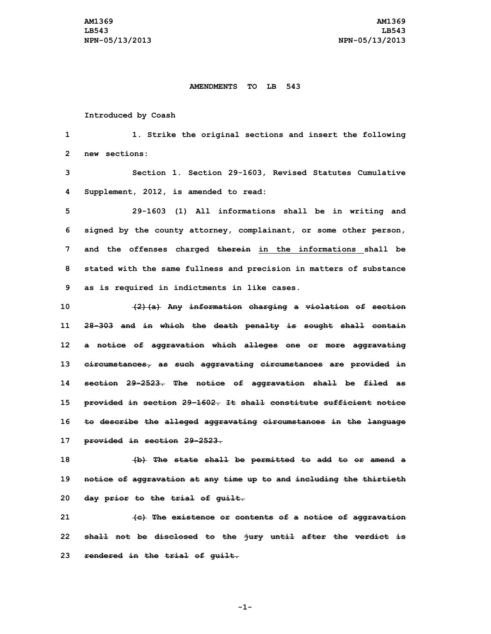## **AMENDMENTS TO LB 543**

## **Introduced by Coash**

 **1. Strike the original sections and insert the following new sections: Section 1. Section 29-1603, Revised Statutes Cumulative Supplement, 2012, is amended to read: 29-1603 (1) All informations shall be in writing and signed by the county attorney, complainant, or some other person, and the offenses charged therein in the informations shall be stated with the same fullness and precision in matters of substance as is required in indictments in like cases. (2)(a) Any information charging <sup>a</sup> violation of section 28-303 and in which the death penalty is sought shall contain <sup>a</sup> notice of aggravation which alleges one or more aggravating circumstances, as such aggravating circumstances are provided in section 29-2523. The notice of aggravation shall be filed as provided in section 29-1602. It shall constitute sufficient notice to describe the alleged aggravating circumstances in the language provided in section 29-2523.**

**18 (b) The state shall be permitted to add to or amend <sup>a</sup> 19 notice of aggravation at any time up to and including the thirtieth 20 day prior to the trial of guilt.**

**21 (c) The existence or contents of <sup>a</sup> notice of aggravation 22 shall not be disclosed to the jury until after the verdict is 23 rendered in the trial of guilt.**

**-1-**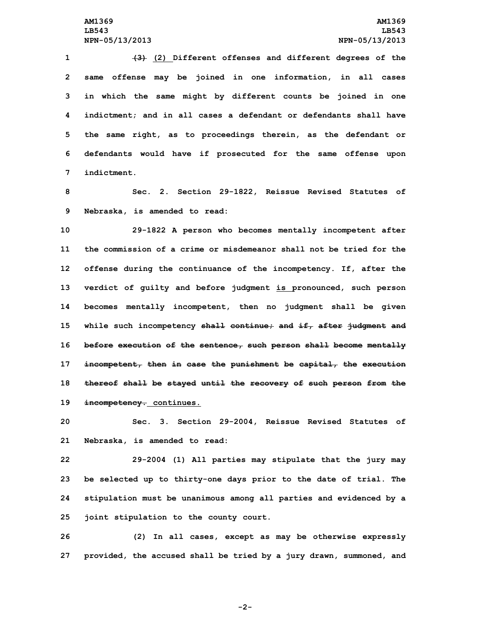**(3) (2) Different offenses and different degrees of the same offense may be joined in one information, in all cases in which the same might by different counts be joined in one indictment; and in all cases <sup>a</sup> defendant or defendants shall have the same right, as to proceedings therein, as the defendant or defendants would have if prosecuted for the same offense upon indictment.**

**8 Sec. 2. Section 29-1822, Reissue Revised Statutes of 9 Nebraska, is amended to read:**

 **29-1822 <sup>A</sup> person who becomes mentally incompetent after the commission of a crime or misdemeanor shall not be tried for the offense during the continuance of the incompetency. If, after the verdict of guilty and before judgment is pronounced, such person becomes mentally incompetent, then no judgment shall be given while such incompetency shall continue; and if, after judgment and before execution of the sentence, such person shall become mentally incompetent, then in case the punishment be capital, the execution thereof shall be stayed until the recovery of such person from the incompetency. continues.**

**20 Sec. 3. Section 29-2004, Reissue Revised Statutes of 21 Nebraska, is amended to read:**

 **29-2004 (1) All parties may stipulate that the jury may be selected up to thirty-one days prior to the date of trial. The stipulation must be unanimous among all parties and evidenced by <sup>a</sup> joint stipulation to the county court.**

**26 (2) In all cases, except as may be otherwise expressly 27 provided, the accused shall be tried by <sup>a</sup> jury drawn, summoned, and**

**-2-**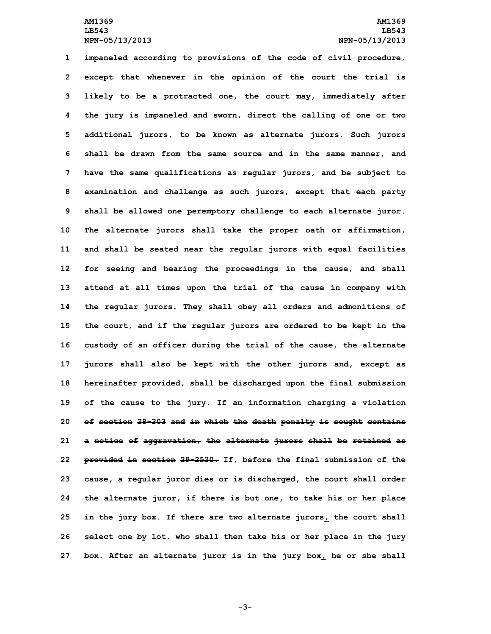**impaneled according to provisions of the code of civil procedure, except that whenever in the opinion of the court the trial is likely to be <sup>a</sup> protracted one, the court may, immediately after the jury is impaneled and sworn, direct the calling of one or two additional jurors, to be known as alternate jurors. Such jurors shall be drawn from the same source and in the same manner, and have the same qualifications as regular jurors, and be subject to examination and challenge as such jurors, except that each party shall be allowed one peremptory challenge to each alternate juror. The alternate jurors shall take the proper oath or affirmation, and shall be seated near the regular jurors with equal facilities for seeing and hearing the proceedings in the cause, and shall attend at all times upon the trial of the cause in company with the regular jurors. They shall obey all orders and admonitions of the court, and if the regular jurors are ordered to be kept in the custody of an officer during the trial of the cause, the alternate jurors shall also be kept with the other jurors and, except as hereinafter provided, shall be discharged upon the final submission of the cause to the jury. If an information charging <sup>a</sup> violation of section 28-303 and in which the death penalty is sought contains <sup>a</sup> notice of aggravation, the alternate jurors shall be retained as provided in section 29-2520. If, before the final submission of the cause, <sup>a</sup> regular juror dies or is discharged, the court shall order the alternate juror, if there is but one, to take his or her place in the jury box. If there are two alternate jurors, the court shall select one by lot, who shall then take his or her place in the jury box. After an alternate juror is in the jury box, he or she shall**

**-3-**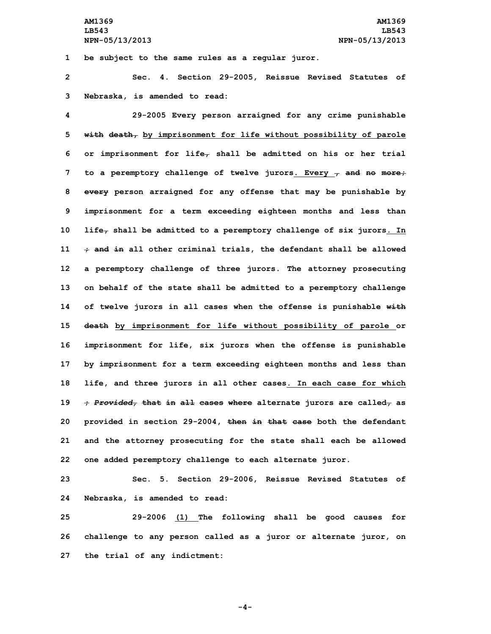**1 be subject to the same rules as <sup>a</sup> regular juror.**

**2 Sec. 4. Section 29-2005, Reissue Revised Statutes of 3 Nebraska, is amended to read:**

 **29-2005 Every person arraigned for any crime punishable with death, by imprisonment for life without possibility of parole or imprisonment for life, shall be admitted on his or her trial to <sup>a</sup> peremptory challenge of twelve jurors. Every , and no more; every person arraigned for any offense that may be punishable by imprisonment for <sup>a</sup> term exceeding eighteen months and less than life, shall be admitted to <sup>a</sup> peremptory challenge of six jurors. In ; and in all other criminal trials, the defendant shall be allowed <sup>a</sup> peremptory challenge of three jurors. The attorney prosecuting on behalf of the state shall be admitted to <sup>a</sup> peremptory challenge of twelve jurors in all cases when the offense is punishable with death by imprisonment for life without possibility of parole or imprisonment for life, six jurors when the offense is punishable by imprisonment for <sup>a</sup> term exceeding eighteen months and less than life, and three jurors in all other cases. In each case for which ;** *Provided,* **that in all cases where alternate jurors are called, as provided in section 29-2004, then in that case both the defendant and the attorney prosecuting for the state shall each be allowed one added peremptory challenge to each alternate juror.**

**23 Sec. 5. Section 29-2006, Reissue Revised Statutes of 24 Nebraska, is amended to read:**

**25 29-2006 (1) The following shall be good causes for 26 challenge to any person called as <sup>a</sup> juror or alternate juror, on 27 the trial of any indictment:**

**-4-**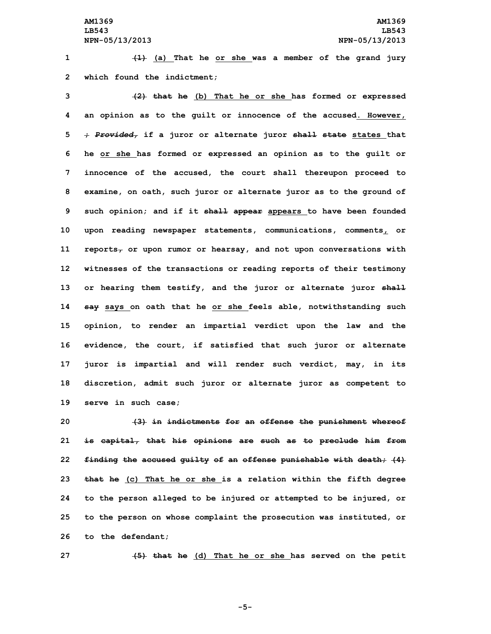**1 (1) (a) That he or she was <sup>a</sup> member of the grand jury 2 which found the indictment;**

 **(2) that he (b) That he or she has formed or expressed an opinion as to the guilt or innocence of the accused. However, ;** *Provided,* **if <sup>a</sup> juror or alternate juror shall state states that he or she has formed or expressed an opinion as to the guilt or innocence of the accused, the court shall thereupon proceed to examine, on oath, such juror or alternate juror as to the ground of such opinion; and if it shall appear appears to have been founded upon reading newspaper statements, communications, comments, or reports, or upon rumor or hearsay, and not upon conversations with witnesses of the transactions or reading reports of their testimony or hearing them testify, and the juror or alternate juror shall say says on oath that he or she feels able, notwithstanding such opinion, to render an impartial verdict upon the law and the evidence, the court, if satisfied that such juror or alternate juror is impartial and will render such verdict, may, in its discretion, admit such juror or alternate juror as competent to serve in such case;**

 **(3) in indictments for an offense the punishment whereof is capital, that his opinions are such as to preclude him from finding the accused guilty of an offense punishable with death; (4) that he (c) That he or she is <sup>a</sup> relation within the fifth degree to the person alleged to be injured or attempted to be injured, or to the person on whose complaint the prosecution was instituted, or to the defendant;**

**27 (5) that he (d) That he or she has served on the petit**

**-5-**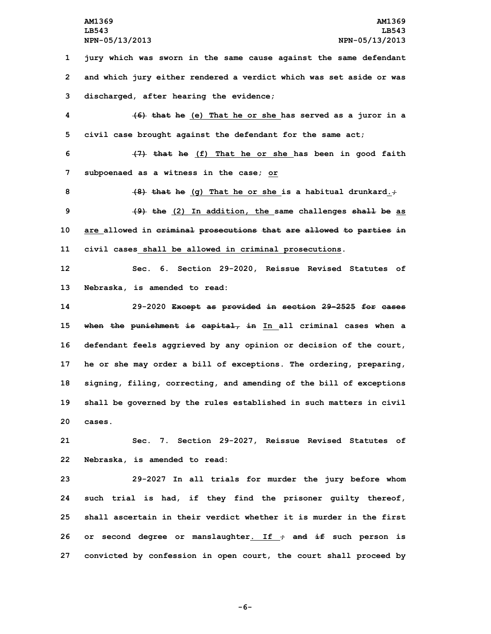**1 jury which was sworn in the same cause against the same defendant 2 and which jury either rendered <sup>a</sup> verdict which was set aside or was 3 discharged, after hearing the evidence;**

**4 (6) that he (e) That he or she has served as <sup>a</sup> juror in <sup>a</sup> 5 civil case brought against the defendant for the same act;**

**6 (7) that he (f) That he or she has been in good faith 7 subpoenaed as <sup>a</sup> witness in the case; or**

 **(8) that he (g) That he or she is <sup>a</sup> habitual drunkard.; (9) the (2) In addition, the same challenges shall be as are allowed in criminal prosecutions that are allowed to parties in civil cases shall be allowed in criminal prosecutions.**

**12 Sec. 6. Section 29-2020, Reissue Revised Statutes of 13 Nebraska, is amended to read:**

 **29-2020 Except as provided in section 29-2525 for cases when the punishment is capital, in In all criminal cases when <sup>a</sup> defendant feels aggrieved by any opinion or decision of the court, he or she may order <sup>a</sup> bill of exceptions. The ordering, preparing, signing, filing, correcting, and amending of the bill of exceptions shall be governed by the rules established in such matters in civil 20 cases.**

**21 Sec. 7. Section 29-2027, Reissue Revised Statutes of 22 Nebraska, is amended to read:**

 **29-2027 In all trials for murder the jury before whom such trial is had, if they find the prisoner guilty thereof, shall ascertain in their verdict whether it is murder in the first** 26 or second degree or manslaughter. If  $\div$  and  $\pm$  f such person is **convicted by confession in open court, the court shall proceed by**

**-6-**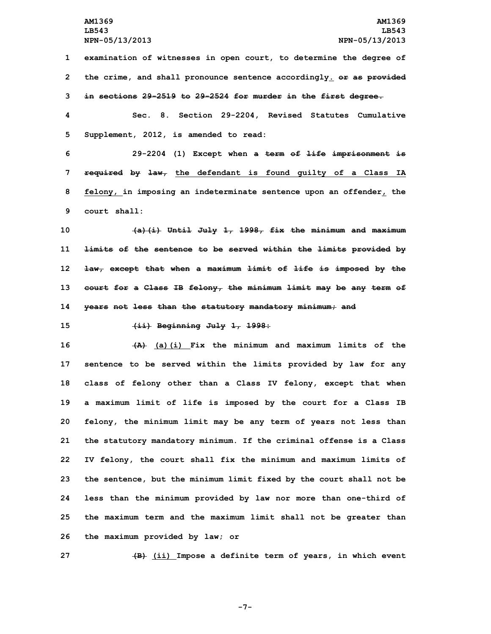**1 examination of witnesses in open court, to determine the degree of 2 the crime, and shall pronounce sentence accordingly. or as provided 3 in sections 29-2519 to 29-2524 for murder in the first degree.**

**4 Sec. 8. Section 29-2204, Revised Statutes Cumulative 5 Supplement, 2012, is amended to read:**

 **29-2204 (1) Except when <sup>a</sup> term of life imprisonment is required by law, the defendant is found guilty of <sup>a</sup> Class IA felony, in imposing an indeterminate sentence upon an offender, the court shall:**

 **(a)(i) Until July 1, 1998, fix the minimum and maximum limits of the sentence to be served within the limits provided by law, except that when <sup>a</sup> maximum limit of life is imposed by the court for <sup>a</sup> Class IB felony, the minimum limit may be any term of years not less than the statutory mandatory minimum; and**

**15 (ii) Beginning July 1, 1998:**

 **(A) (a)(i) Fix the minimum and maximum limits of the sentence to be served within the limits provided by law for any class of felony other than <sup>a</sup> Class IV felony, except that when <sup>a</sup> maximum limit of life is imposed by the court for <sup>a</sup> Class IB felony, the minimum limit may be any term of years not less than the statutory mandatory minimum. If the criminal offense is <sup>a</sup> Class IV felony, the court shall fix the minimum and maximum limits of the sentence, but the minimum limit fixed by the court shall not be less than the minimum provided by law nor more than one-third of the maximum term and the maximum limit shall not be greater than the maximum provided by law; or**

**27 (B) (ii) Impose <sup>a</sup> definite term of years, in which event**

**-7-**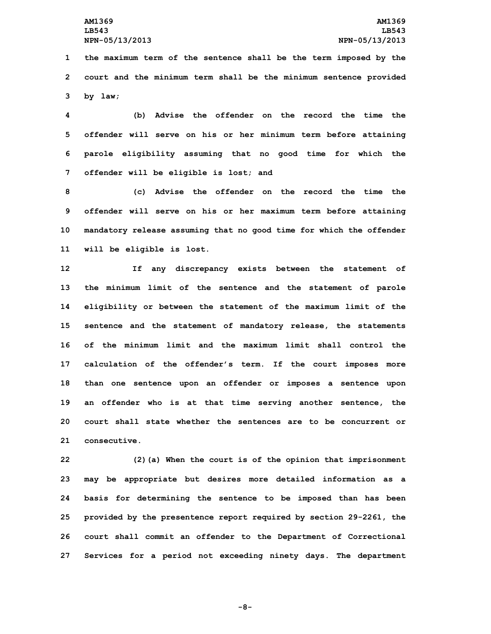**1 the maximum term of the sentence shall be the term imposed by the 2 court and the minimum term shall be the minimum sentence provided 3 by law;**

 **(b) Advise the offender on the record the time the offender will serve on his or her minimum term before attaining parole eligibility assuming that no good time for which the offender will be eligible is lost; and**

 **(c) Advise the offender on the record the time the offender will serve on his or her maximum term before attaining mandatory release assuming that no good time for which the offender will be eligible is lost.**

 **If any discrepancy exists between the statement of the minimum limit of the sentence and the statement of parole eligibility or between the statement of the maximum limit of the sentence and the statement of mandatory release, the statements of the minimum limit and the maximum limit shall control the calculation of the offender's term. If the court imposes more than one sentence upon an offender or imposes <sup>a</sup> sentence upon an offender who is at that time serving another sentence, the court shall state whether the sentences are to be concurrent or consecutive.**

 **(2)(a) When the court is of the opinion that imprisonment may be appropriate but desires more detailed information as <sup>a</sup> basis for determining the sentence to be imposed than has been provided by the presentence report required by section 29-2261, the court shall commit an offender to the Department of Correctional Services for <sup>a</sup> period not exceeding ninety days. The department**

**-8-**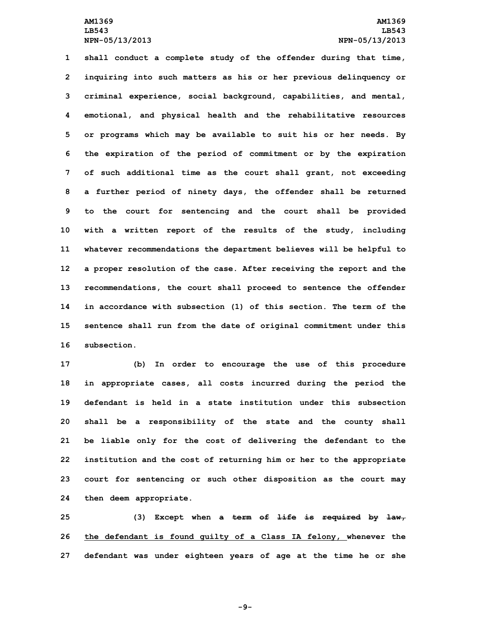**shall conduct <sup>a</sup> complete study of the offender during that time, inquiring into such matters as his or her previous delinquency or criminal experience, social background, capabilities, and mental, emotional, and physical health and the rehabilitative resources or programs which may be available to suit his or her needs. By the expiration of the period of commitment or by the expiration of such additional time as the court shall grant, not exceeding <sup>a</sup> further period of ninety days, the offender shall be returned to the court for sentencing and the court shall be provided with <sup>a</sup> written report of the results of the study, including whatever recommendations the department believes will be helpful to <sup>a</sup> proper resolution of the case. After receiving the report and the recommendations, the court shall proceed to sentence the offender in accordance with subsection (1) of this section. The term of the sentence shall run from the date of original commitment under this subsection.**

 **(b) In order to encourage the use of this procedure in appropriate cases, all costs incurred during the period the defendant is held in a state institution under this subsection shall be <sup>a</sup> responsibility of the state and the county shall be liable only for the cost of delivering the defendant to the institution and the cost of returning him or her to the appropriate court for sentencing or such other disposition as the court may then deem appropriate.**

**25 (3) Except when <sup>a</sup> term of life is required by law, 26 the defendant is found guilty of <sup>a</sup> Class IA felony, whenever the 27 defendant was under eighteen years of age at the time he or she**

**-9-**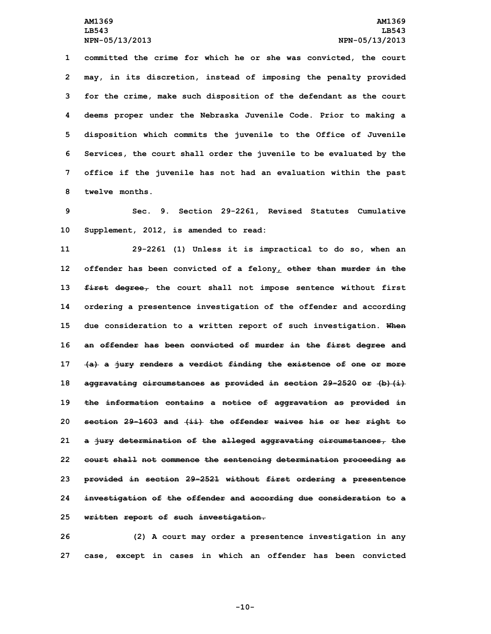**committed the crime for which he or she was convicted, the court may, in its discretion, instead of imposing the penalty provided for the crime, make such disposition of the defendant as the court deems proper under the Nebraska Juvenile Code. Prior to making <sup>a</sup> disposition which commits the juvenile to the Office of Juvenile Services, the court shall order the juvenile to be evaluated by the office if the juvenile has not had an evaluation within the past twelve months.**

**9 Sec. 9. Section 29-2261, Revised Statutes Cumulative 10 Supplement, 2012, is amended to read:**

 **29-2261 (1) Unless it is impractical to do so, when an offender has been convicted of <sup>a</sup> felony, other than murder in the first degree, the court shall not impose sentence without first ordering <sup>a</sup> presentence investigation of the offender and according due consideration to <sup>a</sup> written report of such investigation. When an offender has been convicted of murder in the first degree and (a) <sup>a</sup> jury renders <sup>a</sup> verdict finding the existence of one or more aggravating circumstances as provided in section 29-2520 or (b)(i) the information contains <sup>a</sup> notice of aggravation as provided in section 29-1603 and (ii) the offender waives his or her right to <sup>a</sup> jury determination of the alleged aggravating circumstances, the court shall not commence the sentencing determination proceeding as provided in section 29-2521 without first ordering <sup>a</sup> presentence investigation of the offender and according due consideration to <sup>a</sup> written report of such investigation.**

**26 (2) <sup>A</sup> court may order <sup>a</sup> presentence investigation in any 27 case, except in cases in which an offender has been convicted**

**-10-**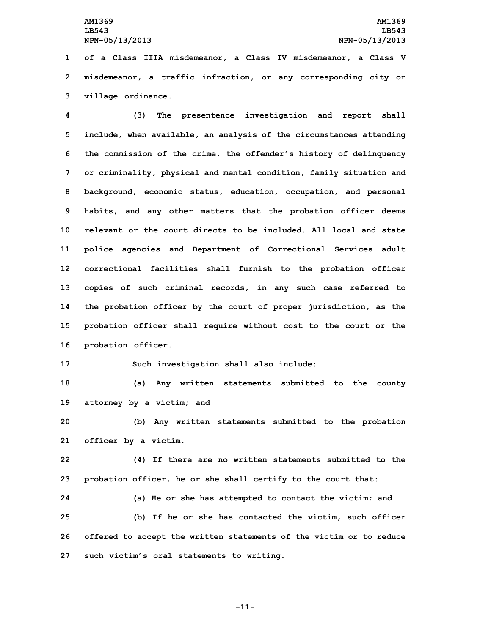**1 of <sup>a</sup> Class IIIA misdemeanor, <sup>a</sup> Class IV misdemeanor, <sup>a</sup> Class V 2 misdemeanor, <sup>a</sup> traffic infraction, or any corresponding city or 3 village ordinance.**

 **(3) The presentence investigation and report shall include, when available, an analysis of the circumstances attending the commission of the crime, the offender's history of delinquency or criminality, physical and mental condition, family situation and background, economic status, education, occupation, and personal habits, and any other matters that the probation officer deems relevant or the court directs to be included. All local and state police agencies and Department of Correctional Services adult correctional facilities shall furnish to the probation officer copies of such criminal records, in any such case referred to the probation officer by the court of proper jurisdiction, as the probation officer shall require without cost to the court or the probation officer.**

**17 Such investigation shall also include:**

**18 (a) Any written statements submitted to the county 19 attorney by <sup>a</sup> victim; and**

**20 (b) Any written statements submitted to the probation 21 officer by <sup>a</sup> victim.**

**22 (4) If there are no written statements submitted to the 23 probation officer, he or she shall certify to the court that:**

 **(a) He or she has attempted to contact the victim; and (b) If he or she has contacted the victim, such officer offered to accept the written statements of the victim or to reduce such victim's oral statements to writing.**

**-11-**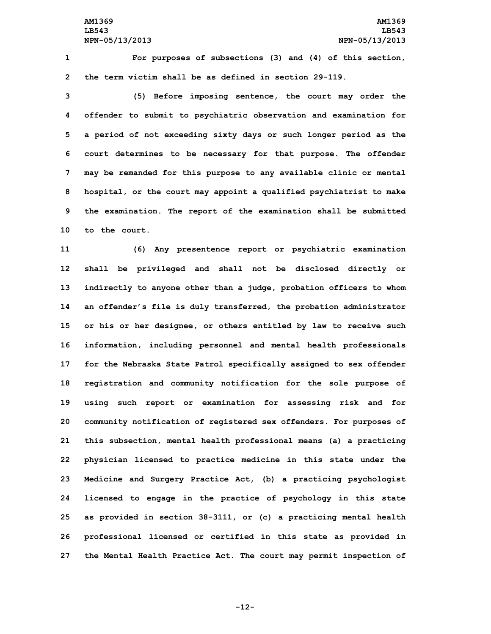**1 For purposes of subsections (3) and (4) of this section, 2 the term victim shall be as defined in section 29-119.**

 **(5) Before imposing sentence, the court may order the offender to submit to psychiatric observation and examination for <sup>a</sup> period of not exceeding sixty days or such longer period as the court determines to be necessary for that purpose. The offender may be remanded for this purpose to any available clinic or mental hospital, or the court may appoint <sup>a</sup> qualified psychiatrist to make the examination. The report of the examination shall be submitted to the court.**

 **(6) Any presentence report or psychiatric examination shall be privileged and shall not be disclosed directly or indirectly to anyone other than <sup>a</sup> judge, probation officers to whom an offender's file is duly transferred, the probation administrator or his or her designee, or others entitled by law to receive such information, including personnel and mental health professionals for the Nebraska State Patrol specifically assigned to sex offender registration and community notification for the sole purpose of using such report or examination for assessing risk and for community notification of registered sex offenders. For purposes of this subsection, mental health professional means (a) <sup>a</sup> practicing physician licensed to practice medicine in this state under the Medicine and Surgery Practice Act, (b) <sup>a</sup> practicing psychologist licensed to engage in the practice of psychology in this state as provided in section 38-3111, or (c) <sup>a</sup> practicing mental health professional licensed or certified in this state as provided in the Mental Health Practice Act. The court may permit inspection of**

**-12-**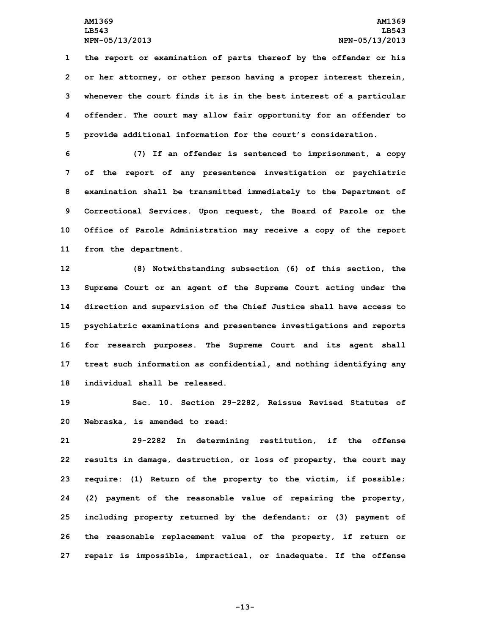**the report or examination of parts thereof by the offender or his or her attorney, or other person having <sup>a</sup> proper interest therein, whenever the court finds it is in the best interest of <sup>a</sup> particular offender. The court may allow fair opportunity for an offender to provide additional information for the court's consideration.**

 **(7) If an offender is sentenced to imprisonment, <sup>a</sup> copy of the report of any presentence investigation or psychiatric examination shall be transmitted immediately to the Department of Correctional Services. Upon request, the Board of Parole or the Office of Parole Administration may receive <sup>a</sup> copy of the report from the department.**

 **(8) Notwithstanding subsection (6) of this section, the Supreme Court or an agent of the Supreme Court acting under the direction and supervision of the Chief Justice shall have access to psychiatric examinations and presentence investigations and reports for research purposes. The Supreme Court and its agent shall treat such information as confidential, and nothing identifying any individual shall be released.**

**19 Sec. 10. Section 29-2282, Reissue Revised Statutes of 20 Nebraska, is amended to read:**

 **29-2282 In determining restitution, if the offense results in damage, destruction, or loss of property, the court may require: (1) Return of the property to the victim, if possible; (2) payment of the reasonable value of repairing the property, including property returned by the defendant; or (3) payment of the reasonable replacement value of the property, if return or repair is impossible, impractical, or inadequate. If the offense**

**-13-**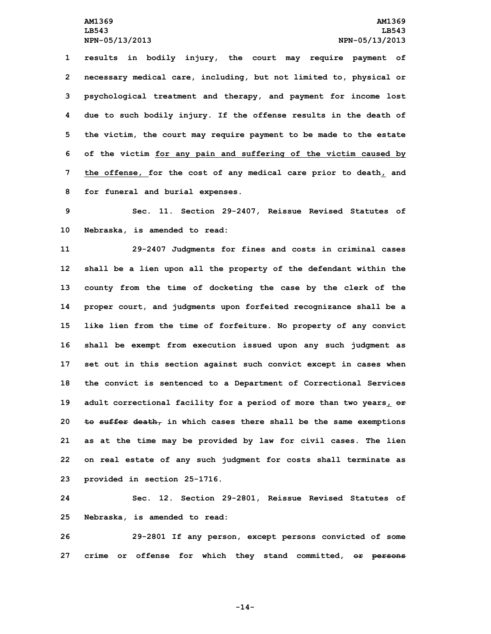**results in bodily injury, the court may require payment of necessary medical care, including, but not limited to, physical or psychological treatment and therapy, and payment for income lost due to such bodily injury. If the offense results in the death of the victim, the court may require payment to be made to the estate of the victim for any pain and suffering of the victim caused by the offense, for the cost of any medical care prior to death, and for funeral and burial expenses.**

**9 Sec. 11. Section 29-2407, Reissue Revised Statutes of 10 Nebraska, is amended to read:**

 **29-2407 Judgments for fines and costs in criminal cases shall be <sup>a</sup> lien upon all the property of the defendant within the county from the time of docketing the case by the clerk of the proper court, and judgments upon forfeited recognizance shall be <sup>a</sup> like lien from the time of forfeiture. No property of any convict shall be exempt from execution issued upon any such judgment as set out in this section against such convict except in cases when the convict is sentenced to <sup>a</sup> Department of Correctional Services adult correctional facility for <sup>a</sup> period of more than two years, or to suffer death, in which cases there shall be the same exemptions as at the time may be provided by law for civil cases. The lien on real estate of any such judgment for costs shall terminate as provided in section 25-1716.**

**24 Sec. 12. Section 29-2801, Reissue Revised Statutes of 25 Nebraska, is amended to read:**

**26 29-2801 If any person, except persons convicted of some 27 crime or offense for which they stand committed, or persons**

**-14-**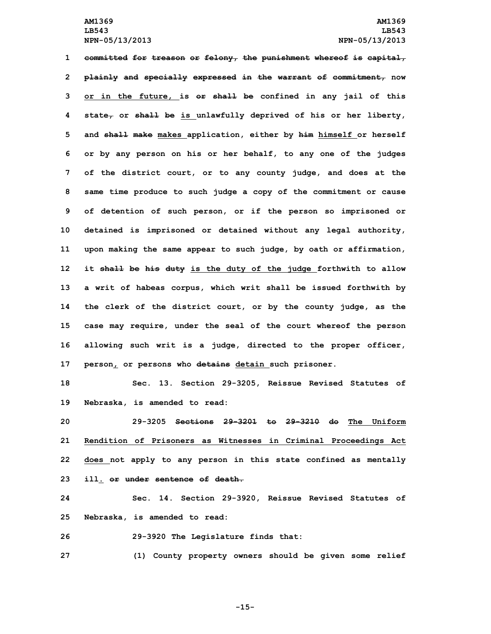**committed for treason or felony, the punishment whereof is capital, plainly and specially expressed in the warrant of commitment, now or in the future, is or shall be confined in any jail of this state, or shall be is unlawfully deprived of his or her liberty, and shall make makes application, either by him himself or herself or by any person on his or her behalf, to any one of the judges of the district court, or to any county judge, and does at the same time produce to such judge <sup>a</sup> copy of the commitment or cause of detention of such person, or if the person so imprisoned or detained is imprisoned or detained without any legal authority, upon making the same appear to such judge, by oath or affirmation, it shall be his duty is the duty of the judge forthwith to allow <sup>a</sup> writ of habeas corpus, which writ shall be issued forthwith by the clerk of the district court, or by the county judge, as the case may require, under the seal of the court whereof the person allowing such writ is <sup>a</sup> judge, directed to the proper officer, person, or persons who detains detain such prisoner.**

**18 Sec. 13. Section 29-3205, Reissue Revised Statutes of 19 Nebraska, is amended to read:**

 **29-3205 Sections 29-3201 to 29-3210 do The Uniform Rendition of Prisoners as Witnesses in Criminal Proceedings Act does not apply to any person in this state confined as mentally ill. or under sentence of death.**

**24 Sec. 14. Section 29-3920, Reissue Revised Statutes of 25 Nebraska, is amended to read:**

**26 29-3920 The Legislature finds that:**

**27 (1) County property owners should be given some relief**

**-15-**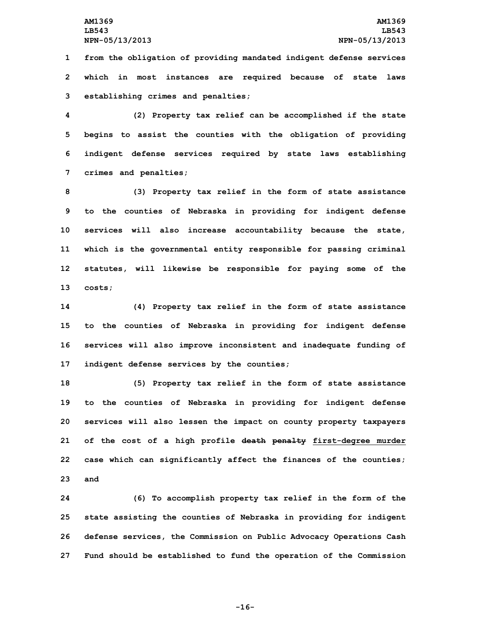**1 from the obligation of providing mandated indigent defense services 2 which in most instances are required because of state laws 3 establishing crimes and penalties;**

 **(2) Property tax relief can be accomplished if the state begins to assist the counties with the obligation of providing indigent defense services required by state laws establishing crimes and penalties;**

 **(3) Property tax relief in the form of state assistance to the counties of Nebraska in providing for indigent defense services will also increase accountability because the state, which is the governmental entity responsible for passing criminal statutes, will likewise be responsible for paying some of the 13 costs;**

 **(4) Property tax relief in the form of state assistance to the counties of Nebraska in providing for indigent defense services will also improve inconsistent and inadequate funding of indigent defense services by the counties;**

 **(5) Property tax relief in the form of state assistance to the counties of Nebraska in providing for indigent defense services will also lessen the impact on county property taxpayers of the cost of <sup>a</sup> high profile death penalty first-degree murder case which can significantly affect the finances of the counties; 23 and**

 **(6) To accomplish property tax relief in the form of the state assisting the counties of Nebraska in providing for indigent defense services, the Commission on Public Advocacy Operations Cash Fund should be established to fund the operation of the Commission**

**-16-**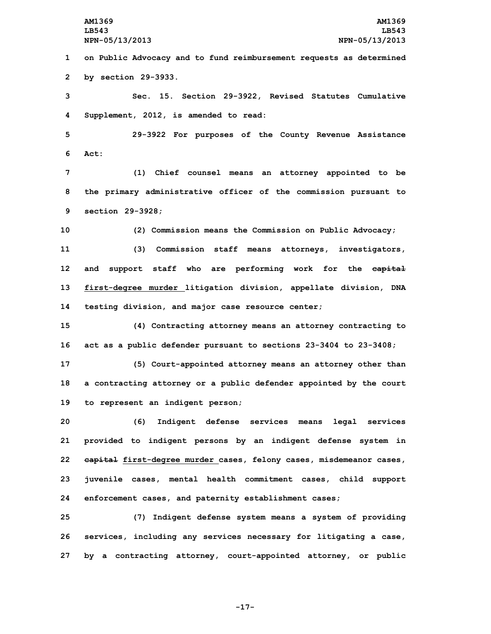**1 on Public Advocacy and to fund reimbursement requests as determined 2 by section 29-3933.**

**3 Sec. 15. Section 29-3922, Revised Statutes Cumulative 4 Supplement, 2012, is amended to read:**

**5 29-3922 For purposes of the County Revenue Assistance 6 Act:**

**7 (1) Chief counsel means an attorney appointed to be 8 the primary administrative officer of the commission pursuant to 9 section 29-3928;**

 **(2) Commission means the Commission on Public Advocacy; (3) Commission staff means attorneys, investigators, and support staff who are performing work for the capital first-degree murder litigation division, appellate division, DNA testing division, and major case resource center;**

**15 (4) Contracting attorney means an attorney contracting to 16 act as <sup>a</sup> public defender pursuant to sections 23-3404 to 23-3408;**

**17 (5) Court-appointed attorney means an attorney other than 18 <sup>a</sup> contracting attorney or <sup>a</sup> public defender appointed by the court 19 to represent an indigent person;**

 **(6) Indigent defense services means legal services provided to indigent persons by an indigent defense system in capital first-degree murder cases, felony cases, misdemeanor cases, juvenile cases, mental health commitment cases, child support enforcement cases, and paternity establishment cases;**

**25 (7) Indigent defense system means <sup>a</sup> system of providing 26 services, including any services necessary for litigating <sup>a</sup> case, 27 by <sup>a</sup> contracting attorney, court-appointed attorney, or public**

**-17-**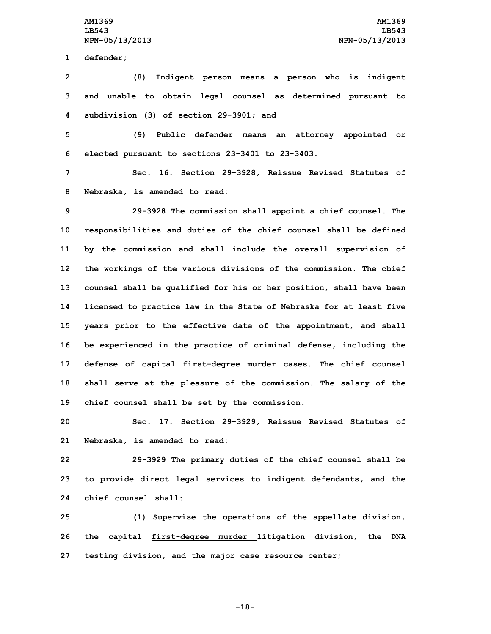**1 defender;**

**2 (8) Indigent person means <sup>a</sup> person who is indigent 3 and unable to obtain legal counsel as determined pursuant to 4 subdivision (3) of section 29-3901; and**

**5 (9) Public defender means an attorney appointed or 6 elected pursuant to sections 23-3401 to 23-3403.**

**7 Sec. 16. Section 29-3928, Reissue Revised Statutes of 8 Nebraska, is amended to read:**

 **29-3928 The commission shall appoint <sup>a</sup> chief counsel. The responsibilities and duties of the chief counsel shall be defined by the commission and shall include the overall supervision of the workings of the various divisions of the commission. The chief counsel shall be qualified for his or her position, shall have been licensed to practice law in the State of Nebraska for at least five years prior to the effective date of the appointment, and shall be experienced in the practice of criminal defense, including the defense of capital first-degree murder cases. The chief counsel shall serve at the pleasure of the commission. The salary of the chief counsel shall be set by the commission.**

**20 Sec. 17. Section 29-3929, Reissue Revised Statutes of 21 Nebraska, is amended to read:**

**22 29-3929 The primary duties of the chief counsel shall be 23 to provide direct legal services to indigent defendants, and the 24 chief counsel shall:**

**25 (1) Supervise the operations of the appellate division, 26 the capital first-degree murder litigation division, the DNA 27 testing division, and the major case resource center;**

**-18-**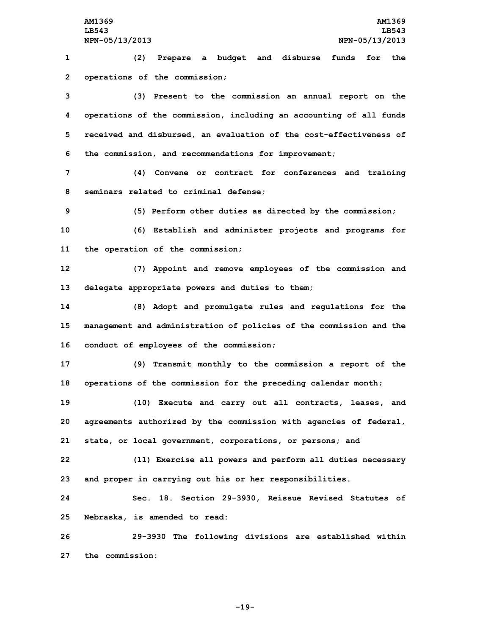**1 (2) Prepare <sup>a</sup> budget and disburse funds for the 2 operations of the commission;**

 **(3) Present to the commission an annual report on the operations of the commission, including an accounting of all funds received and disbursed, an evaluation of the cost-effectiveness of the commission, and recommendations for improvement;**

**7 (4) Convene or contract for conferences and training 8 seminars related to criminal defense;**

**9 (5) Perform other duties as directed by the commission;**

**10 (6) Establish and administer projects and programs for 11 the operation of the commission;**

**12 (7) Appoint and remove employees of the commission and 13 delegate appropriate powers and duties to them;**

**14 (8) Adopt and promulgate rules and regulations for the 15 management and administration of policies of the commission and the 16 conduct of employees of the commission;**

**17 (9) Transmit monthly to the commission <sup>a</sup> report of the 18 operations of the commission for the preceding calendar month;**

**19 (10) Execute and carry out all contracts, leases, and 20 agreements authorized by the commission with agencies of federal, 21 state, or local government, corporations, or persons; and**

**22 (11) Exercise all powers and perform all duties necessary 23 and proper in carrying out his or her responsibilities.**

**24 Sec. 18. Section 29-3930, Reissue Revised Statutes of 25 Nebraska, is amended to read:**

**26 29-3930 The following divisions are established within 27 the commission:**

**-19-**